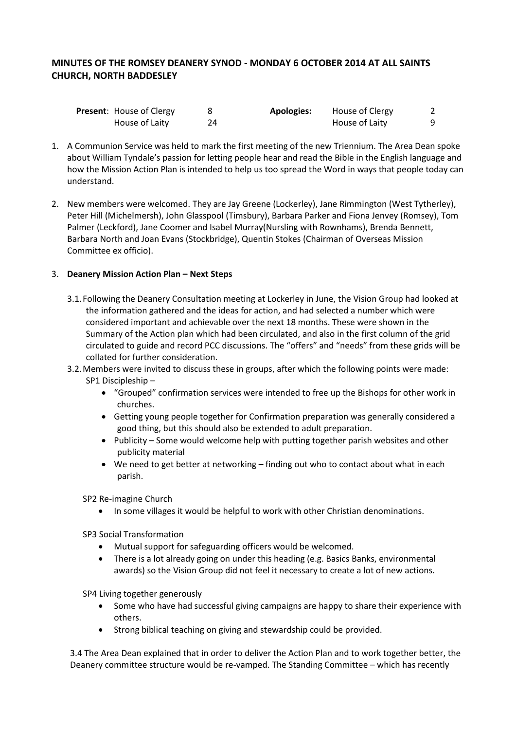# **MINUTES OF THE ROMSEY DEANERY SYNOD - MONDAY 6 OCTOBER 2014 AT ALL SAINTS CHURCH, NORTH BADDESLEY**

| <b>Present: House of Clergy</b> |    | <b>Apologies:</b> | House of Clergy |  |
|---------------------------------|----|-------------------|-----------------|--|
| House of Laity                  | 24 |                   | House of Laity  |  |

- 1. A Communion Service was held to mark the first meeting of the new Triennium. The Area Dean spoke about William Tyndale's passion for letting people hear and read the Bible in the English language and how the Mission Action Plan is intended to help us too spread the Word in ways that people today can understand.
- 2. New members were welcomed. They are Jay Greene (Lockerley), Jane Rimmington (West Tytherley), Peter Hill (Michelmersh), John Glasspool (Timsbury), Barbara Parker and Fiona Jenvey (Romsey), Tom Palmer (Leckford), Jane Coomer and Isabel Murray(Nursling with Rownhams), Brenda Bennett, Barbara North and Joan Evans (Stockbridge), Quentin Stokes (Chairman of Overseas Mission Committee ex officio).

### 3. **Deanery Mission Action Plan – Next Steps**

- 3.1.Following the Deanery Consultation meeting at Lockerley in June, the Vision Group had looked at the information gathered and the ideas for action, and had selected a number which were considered important and achievable over the next 18 months. These were shown in the Summary of the Action plan which had been circulated, and also in the first column of the grid circulated to guide and record PCC discussions. The "offers" and "needs" from these grids will be collated for further consideration.
- 3.2.Members were invited to discuss these in groups, after which the following points were made: SP1 Discipleship –
	- "Grouped" confirmation services were intended to free up the Bishops for other work in churches.
	- Getting young people together for Confirmation preparation was generally considered a good thing, but this should also be extended to adult preparation.
	- Publicity Some would welcome help with putting together parish websites and other publicity material
	- We need to get better at networking finding out who to contact about what in each parish.

SP2 Re-imagine Church

• In some villages it would be helpful to work with other Christian denominations.

SP3 Social Transformation

- Mutual support for safeguarding officers would be welcomed.
- There is a lot already going on under this heading (e.g. Basics Banks, environmental awards) so the Vision Group did not feel it necessary to create a lot of new actions.

SP4 Living together generously

- Some who have had successful giving campaigns are happy to share their experience with others.
- Strong biblical teaching on giving and stewardship could be provided.

3.4 The Area Dean explained that in order to deliver the Action Plan and to work together better, the Deanery committee structure would be re-vamped. The Standing Committee – which has recently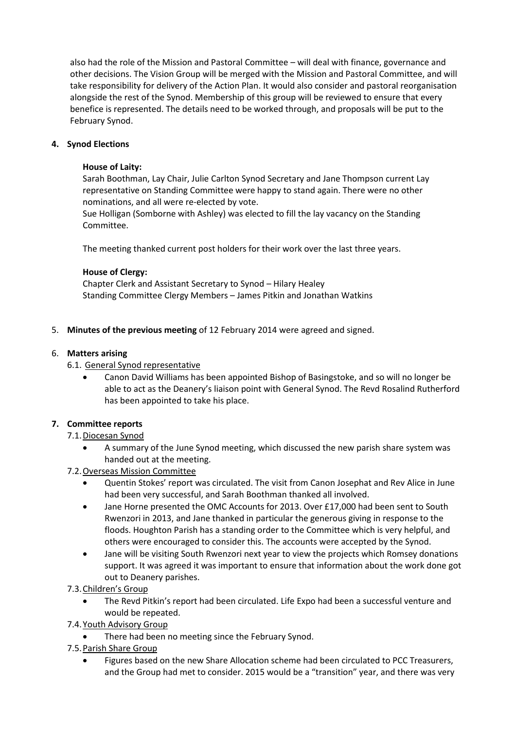also had the role of the Mission and Pastoral Committee – will deal with finance, governance and other decisions. The Vision Group will be merged with the Mission and Pastoral Committee, and will take responsibility for delivery of the Action Plan. It would also consider and pastoral reorganisation alongside the rest of the Synod. Membership of this group will be reviewed to ensure that every benefice is represented. The details need to be worked through, and proposals will be put to the February Synod.

# **4. Synod Elections**

# **House of Laity:**

Sarah Boothman, Lay Chair, Julie Carlton Synod Secretary and Jane Thompson current Lay representative on Standing Committee were happy to stand again. There were no other nominations, and all were re-elected by vote.

Sue Holligan (Somborne with Ashley) was elected to fill the lay vacancy on the Standing Committee.

The meeting thanked current post holders for their work over the last three years.

### **House of Clergy:**

Chapter Clerk and Assistant Secretary to Synod – Hilary Healey Standing Committee Clergy Members – James Pitkin and Jonathan Watkins

5. **Minutes of the previous meeting** of 12 February 2014 were agreed and signed.

#### 6. **Matters arising**

### 6.1. General Synod representative

 Canon David Williams has been appointed Bishop of Basingstoke, and so will no longer be able to act as the Deanery's liaison point with General Synod. The Revd Rosalind Rutherford has been appointed to take his place.

### **7. Committee reports**

### 7.1.Diocesan Synod

- A summary of the June Synod meeting, which discussed the new parish share system was handed out at the meeting.
- 7.2.Overseas Mission Committee
	- Quentin Stokes' report was circulated. The visit from Canon Josephat and Rev Alice in June had been very successful, and Sarah Boothman thanked all involved.
	- Jane Horne presented the OMC Accounts for 2013. Over £17,000 had been sent to South Rwenzori in 2013, and Jane thanked in particular the generous giving in response to the floods. Houghton Parish has a standing order to the Committee which is very helpful, and others were encouraged to consider this. The accounts were accepted by the Synod.
	- Jane will be visiting South Rwenzori next year to view the projects which Romsey donations support. It was agreed it was important to ensure that information about the work done got out to Deanery parishes.
- 7.3.Children's Group
	- The Revd Pitkin's report had been circulated. Life Expo had been a successful venture and would be repeated.
- 7.4.Youth Advisory Group
	- There had been no meeting since the February Synod.
- 7.5.Parish Share Group
	- Figures based on the new Share Allocation scheme had been circulated to PCC Treasurers, and the Group had met to consider. 2015 would be a "transition" year, and there was very